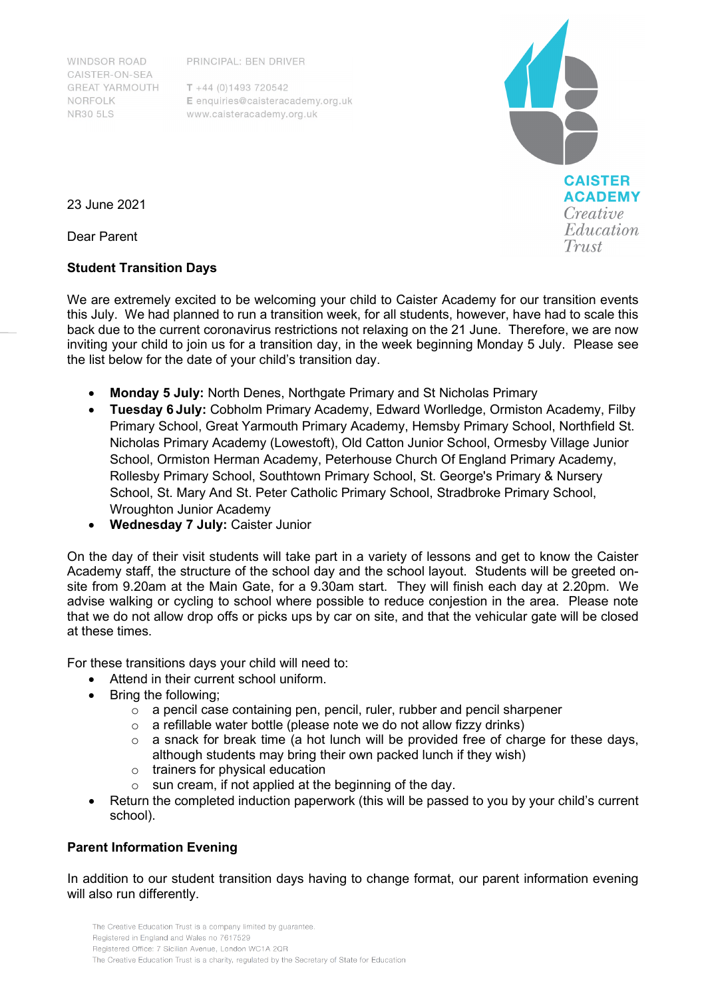PRINCIPAL: BEN DRIVER

**WINDSOR ROAD** CAISTER-ON-SEA **GREAT YARMOUTH** NORFOLK **NR30 5LS** 

 $T + 44 (0)1493 720542$ E enquiries@caisteracademy.org.uk www.caisteracademy.org.uk



23 June 2021

Dear Parent

## **Student Transition Days**

We are extremely excited to be welcoming your child to Caister Academy for our transition events this July. We had planned to run a transition week, for all students, however, have had to scale this back due to the current coronavirus restrictions not relaxing on the 21 June. Therefore, we are now inviting your child to join us for a transition day, in the week beginning Monday 5 July. Please see the list below for the date of your child's transition day.

- **Monday 5 July:** North Denes, Northgate Primary and St Nicholas Primary
- **Tuesday 6 July:** Cobholm Primary Academy, Edward Worlledge, Ormiston Academy, Filby Primary School, Great Yarmouth Primary Academy, Hemsby Primary School, Northfield St. Nicholas Primary Academy (Lowestoft), Old Catton Junior School, Ormesby Village Junior School, Ormiston Herman Academy, Peterhouse Church Of England Primary Academy, Rollesby Primary School, Southtown Primary School, St. George's Primary & Nursery School, St. Mary And St. Peter Catholic Primary School, Stradbroke Primary School, Wroughton Junior Academy
- **Wednesday 7 July:** Caister Junior

On the day of their visit students will take part in a variety of lessons and get to know the Caister Academy staff, the structure of the school day and the school layout. Students will be greeted onsite from 9.20am at the Main Gate, for a 9.30am start. They will finish each day at 2.20pm. We advise walking or cycling to school where possible to reduce conjestion in the area. Please note that we do not allow drop offs or picks ups by car on site, and that the vehicular gate will be closed at these times.

For these transitions days your child will need to:

- Attend in their current school uniform.
- Bring the following;
	- o a pencil case containing pen, pencil, ruler, rubber and pencil sharpener
	- $\circ$  a refillable water bottle (please note we do not allow fizzy drinks)
	- o a snack for break time (a hot lunch will be provided free of charge for these days, although students may bring their own packed lunch if they wish)
	- o trainers for physical education
	- o sun cream, if not applied at the beginning of the day.
- Return the completed induction paperwork (this will be passed to you by your child's current school).

## **Parent Information Evening**

In addition to our student transition days having to change format, our parent information evening will also run differently.